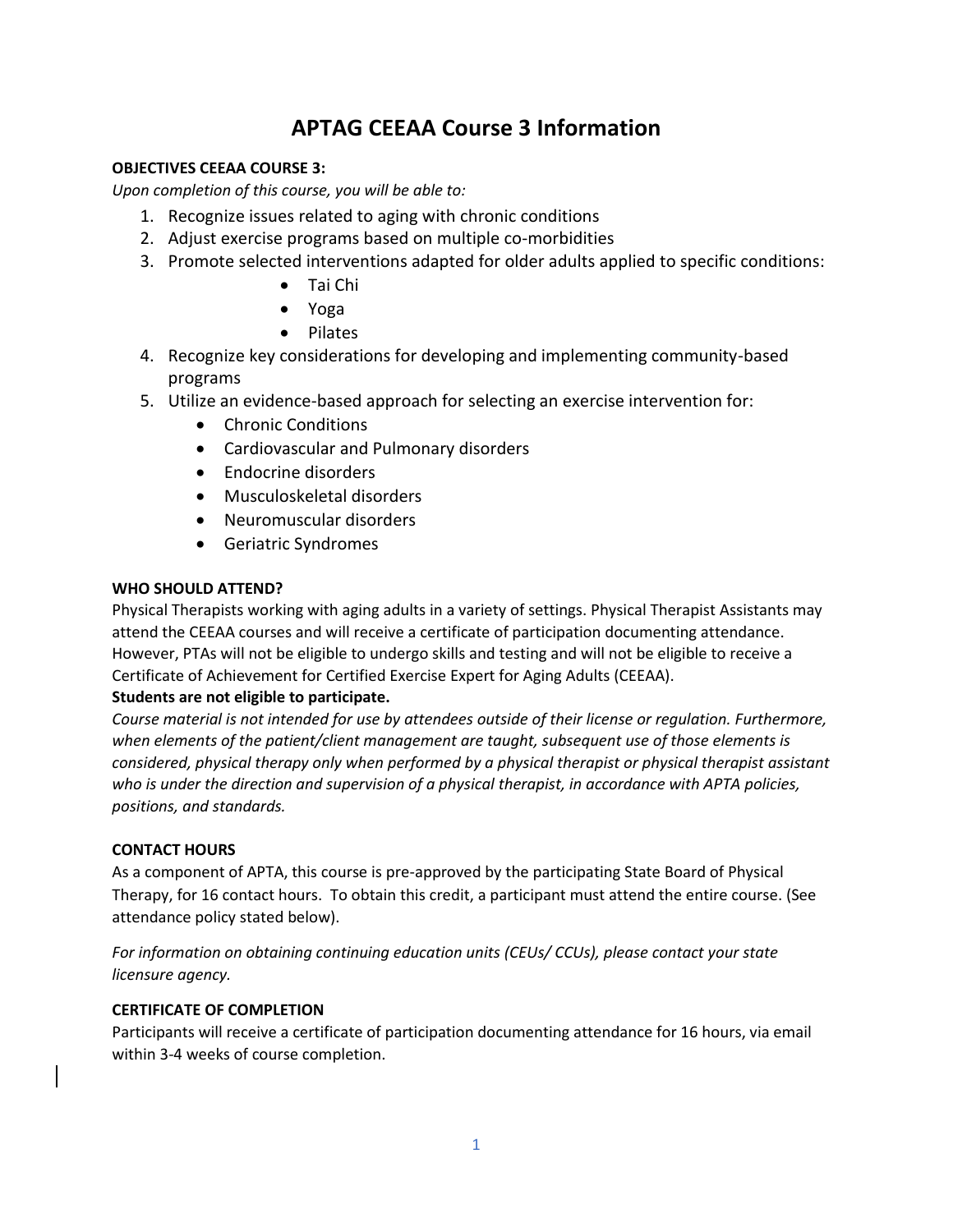# **APTAG CEEAA Course 3 Information**

# **OBJECTIVES CEEAA COURSE 3:**

*Upon completion of this course, you will be able to:* 

- 1. Recognize issues related to aging with chronic conditions
- 2. Adjust exercise programs based on multiple co-morbidities
- 3. Promote selected interventions adapted for older adults applied to specific conditions:
	- Tai Chi
	- Yoga
	- Pilates
- 4. Recognize key considerations for developing and implementing community-based programs
- 5. Utilize an evidence-based approach for selecting an exercise intervention for:
	- Chronic Conditions
	- Cardiovascular and Pulmonary disorders
	- Endocrine disorders
	- Musculoskeletal disorders
	- Neuromuscular disorders
	- Geriatric Syndromes

## **WHO SHOULD ATTEND?**

Physical Therapists working with aging adults in a variety of settings. Physical Therapist Assistants may attend the CEEAA courses and will receive a certificate of participation documenting attendance. However, PTAs will not be eligible to undergo skills and testing and will not be eligible to receive a Certificate of Achievement for Certified Exercise Expert for Aging Adults (CEEAA).

# **Students are not eligible to participate.**

*Course material is not intended for use by attendees outside of their license or regulation. Furthermore, when elements of the patient/client management are taught, subsequent use of those elements is considered, physical therapy only when performed by a physical therapist or physical therapist assistant who is under the direction and supervision of a physical therapist, in accordance with APTA policies, positions, and standards.* 

## **CONTACT HOURS**

As a component of APTA, this course is pre-approved by the participating State Board of Physical Therapy, for 16 contact hours. To obtain this credit, a participant must attend the entire course. (See attendance policy stated below).

*For information on obtaining continuing education units (CEUs/ CCUs), please contact your state licensure agency.*

## **CERTIFICATE OF COMPLETION**

Participants will receive a certificate of participation documenting attendance for 16 hours, via email within 3-4 weeks of course completion.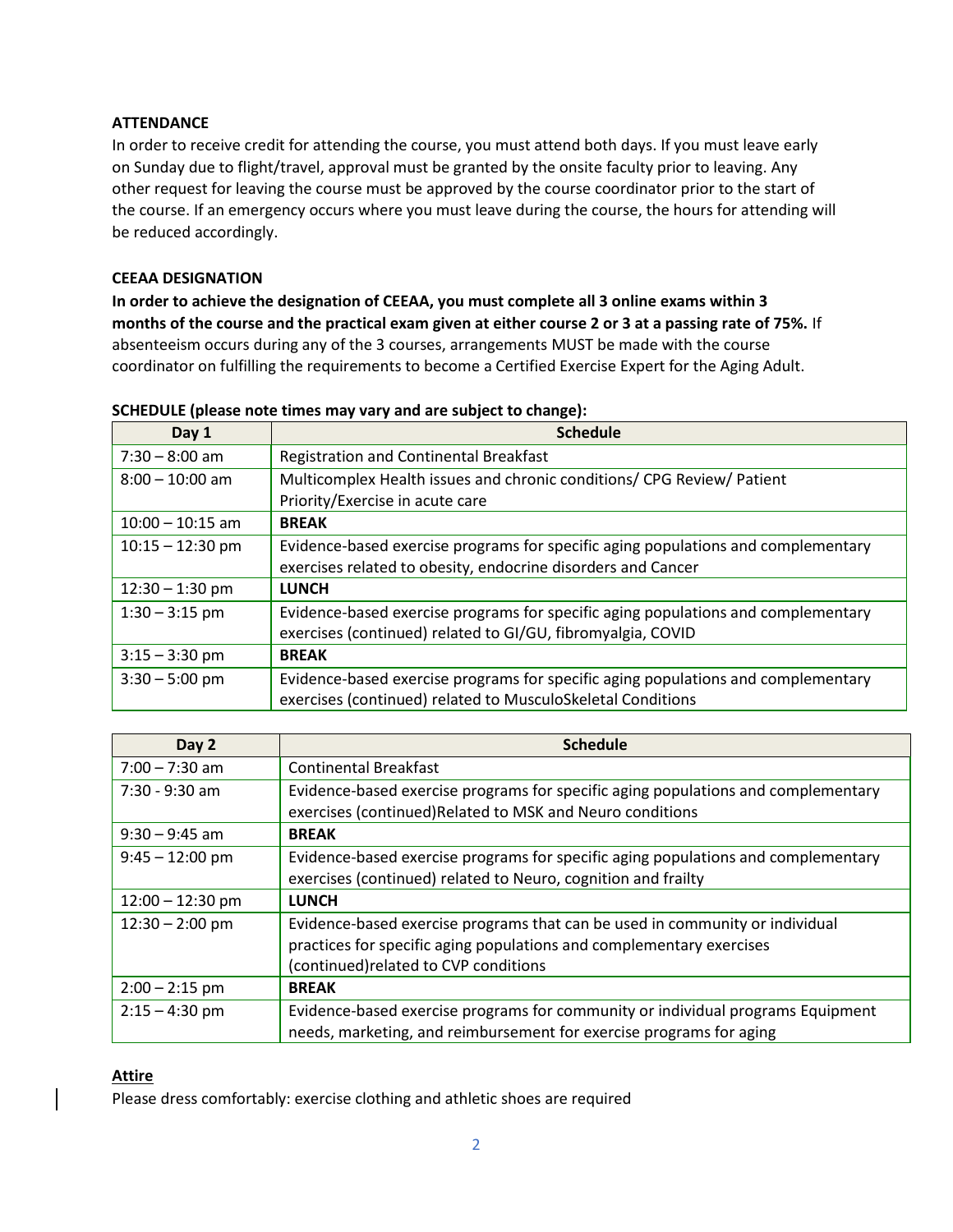## **ATTENDANCE**

In order to receive credit for attending the course, you must attend both days. If you must leave early on Sunday due to flight/travel, approval must be granted by the onsite faculty prior to leaving. Any other request for leaving the course must be approved by the course coordinator prior to the start of the course. If an emergency occurs where you must leave during the course, the hours for attending will be reduced accordingly.

## **CEEAA DESIGNATION**

**In order to achieve the designation of CEEAA, you must complete all 3 online exams within 3 months of the course and the practical exam given at either course 2 or 3 at a passing rate of 75%.** If absenteeism occurs during any of the 3 courses, arrangements MUST be made with the course coordinator on fulfilling the requirements to become a Certified Exercise Expert for the Aging Adult.

| Day 1              | <b>Schedule</b>                                                                                                                                   |
|--------------------|---------------------------------------------------------------------------------------------------------------------------------------------------|
| $7:30 - 8:00$ am   | Registration and Continental Breakfast                                                                                                            |
| $8:00 - 10:00$ am  | Multicomplex Health issues and chronic conditions/ CPG Review/ Patient<br>Priority/Exercise in acute care                                         |
| $10:00 - 10:15$ am | <b>BREAK</b>                                                                                                                                      |
| $10:15 - 12:30$ pm | Evidence-based exercise programs for specific aging populations and complementary<br>exercises related to obesity, endocrine disorders and Cancer |
| $12:30 - 1:30$ pm  | <b>LUNCH</b>                                                                                                                                      |
| $1:30 - 3:15$ pm   | Evidence-based exercise programs for specific aging populations and complementary<br>exercises (continued) related to GI/GU, fibromyalgia, COVID  |
| $3:15 - 3:30$ pm   | <b>BREAK</b>                                                                                                                                      |
| $3:30 - 5:00$ pm   | Evidence-based exercise programs for specific aging populations and complementary<br>exercises (continued) related to MusculoSkeletal Conditions  |

#### **SCHEDULE (please note times may vary and are subject to change):**

| Day 2              | <b>Schedule</b>                                                                                                                                                                               |
|--------------------|-----------------------------------------------------------------------------------------------------------------------------------------------------------------------------------------------|
| $7:00 - 7:30$ am   | <b>Continental Breakfast</b>                                                                                                                                                                  |
| 7:30 - 9:30 am     | Evidence-based exercise programs for specific aging populations and complementary<br>exercises (continued) Related to MSK and Neuro conditions                                                |
| $9:30 - 9:45$ am   | <b>BREAK</b>                                                                                                                                                                                  |
| $9:45 - 12:00$ pm  | Evidence-based exercise programs for specific aging populations and complementary<br>exercises (continued) related to Neuro, cognition and frailty                                            |
| $12:00 - 12:30$ pm | <b>LUNCH</b>                                                                                                                                                                                  |
| $12:30 - 2:00$ pm  | Evidence-based exercise programs that can be used in community or individual<br>practices for specific aging populations and complementary exercises<br>(continued) related to CVP conditions |
| $2:00 - 2:15$ pm   | <b>BREAK</b>                                                                                                                                                                                  |
| $2:15 - 4:30$ pm   | Evidence-based exercise programs for community or individual programs Equipment<br>needs, marketing, and reimbursement for exercise programs for aging                                        |

# **Attire**

Please dress comfortably: exercise clothing and athletic shoes are required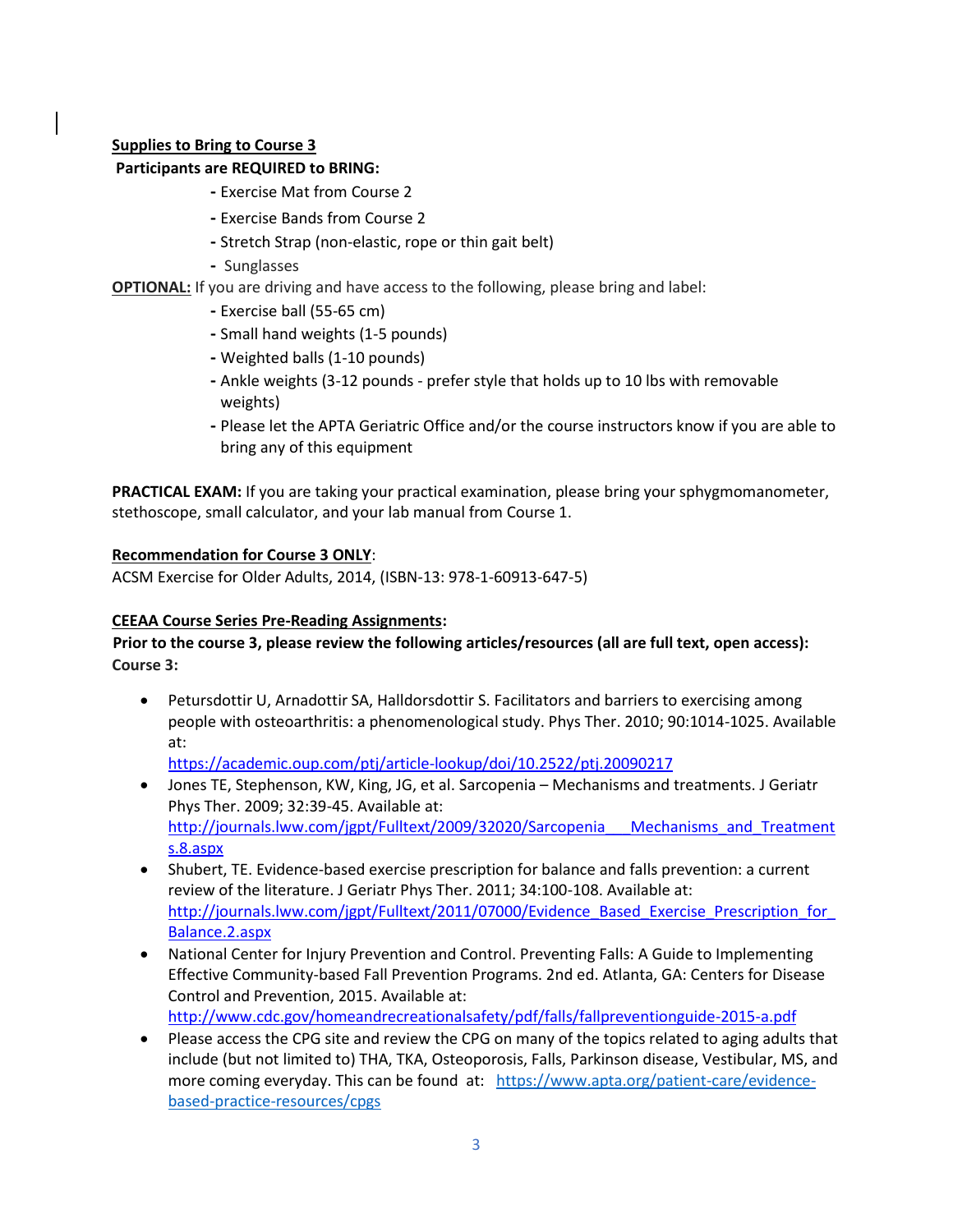# **Supplies to Bring to Course 3**

# **Participants are REQUIRED to BRING:**

- **-** Exercise Mat from Course 2
- **-** Exercise Bands from Course 2
- **-** Stretch Strap (non-elastic, rope or thin gait belt)
- **-** Sunglasses
- **OPTIONAL:** If you are driving and have access to the following, please bring and label:
	- **-** Exercise ball (55-65 cm)
	- **-** Small hand weights (1-5 pounds)
	- **-** Weighted balls (1-10 pounds)
	- **-** Ankle weights (3-12 pounds prefer style that holds up to 10 lbs with removable weights)
	- **-** Please let the APTA Geriatric Office and/or the course instructors know if you are able to bring any of this equipment

**PRACTICAL EXAM:** If you are taking your practical examination, please bring your sphygmomanometer, stethoscope, small calculator, and your lab manual from Course 1.

## **Recommendation for Course 3 ONLY**:

ACSM Exercise for Older Adults, 2014, (ISBN-13: 978-1-60913-647-5)

# **CEEAA Course Series Pre-Reading Assignments:**

## **Prior to the course 3, please review the following articles/resources (all are full text, open access): Course 3:**

• Petursdottir U, Arnadottir SA, Halldorsdottir S. Facilitators and barriers to exercising among people with osteoarthritis: a phenomenological study. Phys Ther. 2010; 90:1014-1025. Available at:

<https://academic.oup.com/ptj/article-lookup/doi/10.2522/ptj.20090217>

- Jones TE, Stephenson, KW, King, JG, et al. Sarcopenia Mechanisms and treatments. J Geriatr Phys Ther. 2009; 32:39-45. Available at: http://journals.lww.com/jgpt/Fulltext/2009/32020/Sarcopenia Mechanisms and Treatment [s.8.aspx](http://journals.lww.com/jgpt/Fulltext/2009/32020/Sarcopenia___Mechanisms_and_Treatments.8.aspx)
- Shubert, TE. Evidence-based exercise prescription for balance and falls prevention: a current review of the literature. J Geriatr Phys Ther. 2011; 34:100-108. Available at: http://journals.lww.com/jgpt/Fulltext/2011/07000/Evidence\_Based\_Exercise\_Prescription\_for [Balance.2.aspx](http://journals.lww.com/jgpt/Fulltext/2011/07000/Evidence_Based_Exercise_Prescription_for_Balance.2.aspx)
- National Center for Injury Prevention and Control. Preventing Falls: A Guide to Implementing Effective Community-based Fall Prevention Programs. 2nd ed. Atlanta, GA: Centers for Disease Control and Prevention, 2015. Available at: <http://www.cdc.gov/homeandrecreationalsafety/pdf/falls/fallpreventionguide-2015-a.pdf>
- Please access the CPG site and review the CPG on many of the topics related to aging adults that include (but not limited to) THA, TKA, Osteoporosis, Falls, Parkinson disease, Vestibular, MS, and more coming everyday. This can be found at: [https://www.apta.org/patient-care/evidence](https://www.apta.org/patient-care/evidence-based-practice-resources/cpgs)[based-practice-resources/cpgs](https://www.apta.org/patient-care/evidence-based-practice-resources/cpgs)